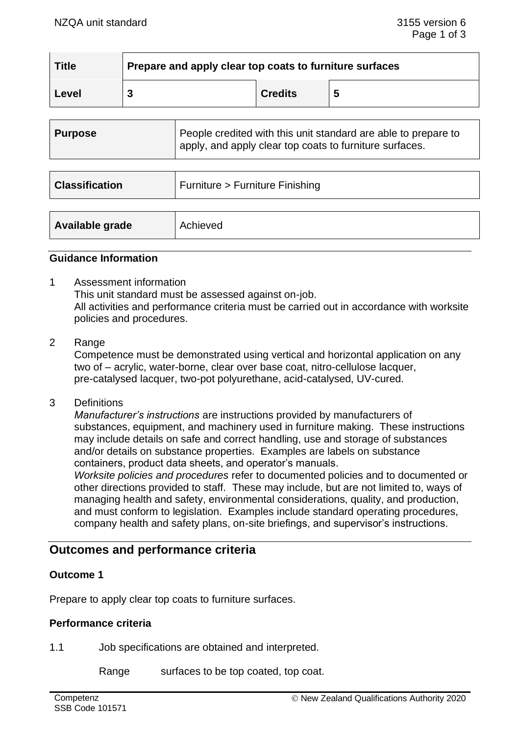| <b>Title</b> | Prepare and apply clear top coats to furniture surfaces |                |   |  |  |
|--------------|---------------------------------------------------------|----------------|---|--|--|
| Level        |                                                         | <b>Credits</b> | C |  |  |

| <b>Purpose</b>        | People credited with this unit standard are able to prepare to<br>apply, and apply clear top coats to furniture surfaces. |  |  |
|-----------------------|---------------------------------------------------------------------------------------------------------------------------|--|--|
|                       |                                                                                                                           |  |  |
| <b>Classification</b> | Furniture > Furniture Finishing                                                                                           |  |  |
|                       |                                                                                                                           |  |  |
| Available grade       | Achieved                                                                                                                  |  |  |

### **Guidance Information**

- 1 Assessment information This unit standard must be assessed against on-job. All activities and performance criteria must be carried out in accordance with worksite policies and procedures.
- 2 Range

Competence must be demonstrated using vertical and horizontal application on any two of – acrylic, water-borne, clear over base coat, nitro-cellulose lacquer, pre-catalysed lacquer, two-pot polyurethane, acid-catalysed, UV-cured.

3 Definitions

*Manufacturer's instructions* are instructions provided by manufacturers of substances, equipment, and machinery used in furniture making. These instructions may include details on safe and correct handling, use and storage of substances and/or details on substance properties. Examples are labels on substance containers, product data sheets, and operator's manuals.

*Worksite policies and procedures* refer to documented policies and to documented or other directions provided to staff. These may include, but are not limited to, ways of managing health and safety, environmental considerations, quality, and production, and must conform to legislation. Examples include standard operating procedures, company health and safety plans, on-site briefings, and supervisor's instructions.

# **Outcomes and performance criteria**

## **Outcome 1**

Prepare to apply clear top coats to furniture surfaces.

#### **Performance criteria**

1.1 Job specifications are obtained and interpreted.

Range surfaces to be top coated, top coat.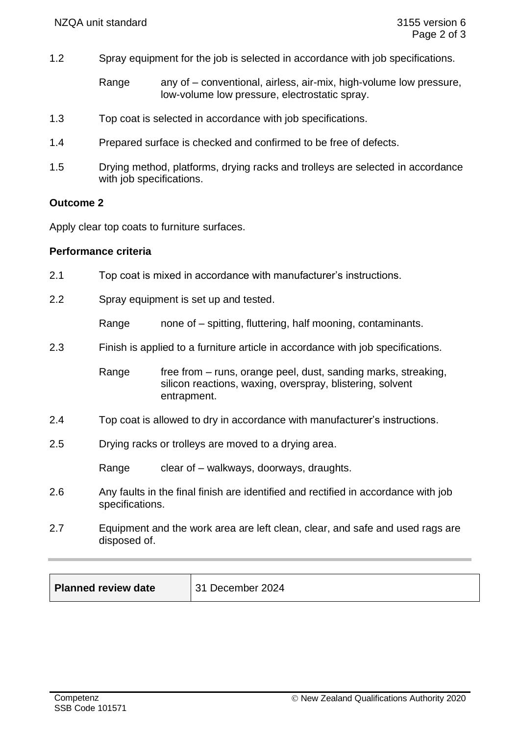1.2 Spray equipment for the job is selected in accordance with job specifications.

Range any of – conventional, airless, air-mix, high-volume low pressure, low-volume low pressure, electrostatic spray.

- 1.3 Top coat is selected in accordance with job specifications.
- 1.4 Prepared surface is checked and confirmed to be free of defects.
- 1.5 Drying method, platforms, drying racks and trolleys are selected in accordance with job specifications.

#### **Outcome 2**

Apply clear top coats to furniture surfaces.

#### **Performance criteria**

- 2.1 Top coat is mixed in accordance with manufacturer's instructions.
- 2.2 Spray equipment is set up and tested.

Range mone of – spitting, fluttering, half mooning, contaminants.

2.3 Finish is applied to a furniture article in accordance with job specifications.

Range free from – runs, orange peel, dust, sanding marks, streaking, silicon reactions, waxing, overspray, blistering, solvent entrapment.

- 2.4 Top coat is allowed to dry in accordance with manufacturer's instructions.
- 2.5 Drying racks or trolleys are moved to a drying area.

Range clear of – walkways, doorways, draughts.

- 2.6 Any faults in the final finish are identified and rectified in accordance with job specifications.
- 2.7 Equipment and the work area are left clean, clear, and safe and used rags are disposed of.

**Planned review date** 31 December 2024